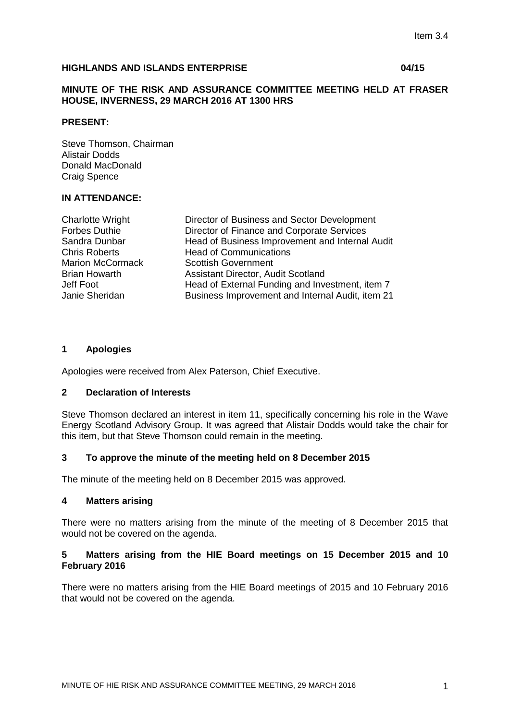## **HIGHLANDS AND ISLANDS ENTERPRISE 04/15**

## **MINUTE OF THE RISK AND ASSURANCE COMMITTEE MEETING HELD AT FRASER HOUSE, INVERNESS, 29 MARCH 2016 AT 1300 HRS**

## **PRESENT:**

Steve Thomson, Chairman Alistair Dodds Donald MacDonald Craig Spence

## **IN ATTENDANCE:**

| <b>Charlotte Wright</b> | Director of Business and Sector Development      |
|-------------------------|--------------------------------------------------|
| <b>Forbes Duthie</b>    | Director of Finance and Corporate Services       |
| Sandra Dunbar           | Head of Business Improvement and Internal Audit  |
| <b>Chris Roberts</b>    | <b>Head of Communications</b>                    |
| <b>Marion McCormack</b> | <b>Scottish Government</b>                       |
| <b>Brian Howarth</b>    | <b>Assistant Director, Audit Scotland</b>        |
| Jeff Foot               | Head of External Funding and Investment, item 7  |
| Janie Sheridan          | Business Improvement and Internal Audit, item 21 |
|                         |                                                  |

## **1 Apologies**

Apologies were received from Alex Paterson, Chief Executive.

## **2 Declaration of Interests**

Steve Thomson declared an interest in item 11, specifically concerning his role in the Wave Energy Scotland Advisory Group. It was agreed that Alistair Dodds would take the chair for this item, but that Steve Thomson could remain in the meeting.

## **3 To approve the minute of the meeting held on 8 December 2015**

The minute of the meeting held on 8 December 2015 was approved.

# **4 Matters arising**

There were no matters arising from the minute of the meeting of 8 December 2015 that would not be covered on the agenda.

## **5 Matters arising from the HIE Board meetings on 15 December 2015 and 10 February 2016**

There were no matters arising from the HIE Board meetings of 2015 and 10 February 2016 that would not be covered on the agenda.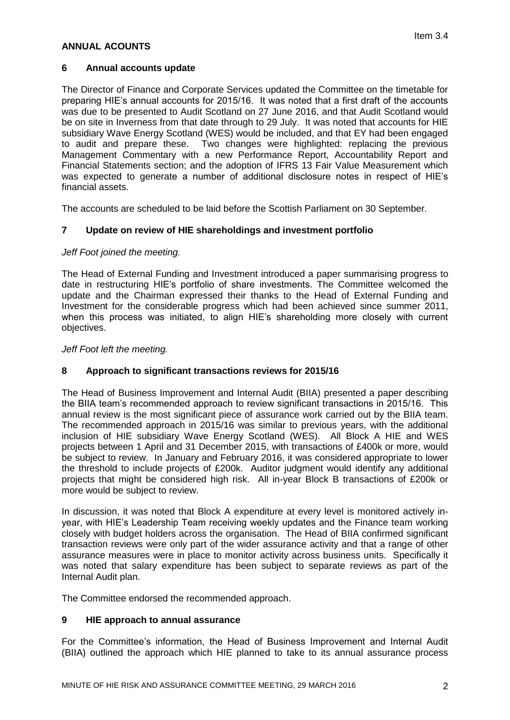## **ANNUAL ACOUNTS**

## **6 Annual accounts update**

The Director of Finance and Corporate Services updated the Committee on the timetable for preparing HIE's annual accounts for 2015/16. It was noted that a first draft of the accounts was due to be presented to Audit Scotland on 27 June 2016, and that Audit Scotland would be on site in Inverness from that date through to 29 July. It was noted that accounts for HIE subsidiary Wave Energy Scotland (WES) would be included, and that EY had been engaged to audit and prepare these. Two changes were highlighted: replacing the previous Management Commentary with a new Performance Report, Accountability Report and Financial Statements section; and the adoption of IFRS 13 Fair Value Measurement which was expected to generate a number of additional disclosure notes in respect of HIE's financial assets.

The accounts are scheduled to be laid before the Scottish Parliament on 30 September.

# **7 Update on review of HIE shareholdings and investment portfolio**

## *Jeff Foot joined the meeting.*

The Head of External Funding and Investment introduced a paper summarising progress to date in restructuring HIE's portfolio of share investments. The Committee welcomed the update and the Chairman expressed their thanks to the Head of External Funding and Investment for the considerable progress which had been achieved since summer 2011, when this process was initiated, to align HIE's shareholding more closely with current objectives.

## *Jeff Foot left the meeting.*

## **8 Approach to significant transactions reviews for 2015/16**

The Head of Business Improvement and Internal Audit (BIIA) presented a paper describing the BIIA team's recommended approach to review significant transactions in 2015/16. This annual review is the most significant piece of assurance work carried out by the BIIA team. The recommended approach in 2015/16 was similar to previous years, with the additional inclusion of HIE subsidiary Wave Energy Scotland (WES). All Block A HIE and WES projects between 1 April and 31 December 2015, with transactions of £400k or more, would be subject to review. In January and February 2016, it was considered appropriate to lower the threshold to include projects of £200k. Auditor judgment would identify any additional projects that might be considered high risk. All in-year Block B transactions of £200k or more would be subject to review.

In discussion, it was noted that Block A expenditure at every level is monitored actively inyear, with HIE's Leadership Team receiving weekly updates and the Finance team working closely with budget holders across the organisation. The Head of BIIA confirmed significant transaction reviews were only part of the wider assurance activity and that a range of other assurance measures were in place to monitor activity across business units. Specifically it was noted that salary expenditure has been subject to separate reviews as part of the Internal Audit plan.

The Committee endorsed the recommended approach.

# **9 HIE approach to annual assurance**

For the Committee's information, the Head of Business Improvement and Internal Audit (BIIA) outlined the approach which HIE planned to take to its annual assurance process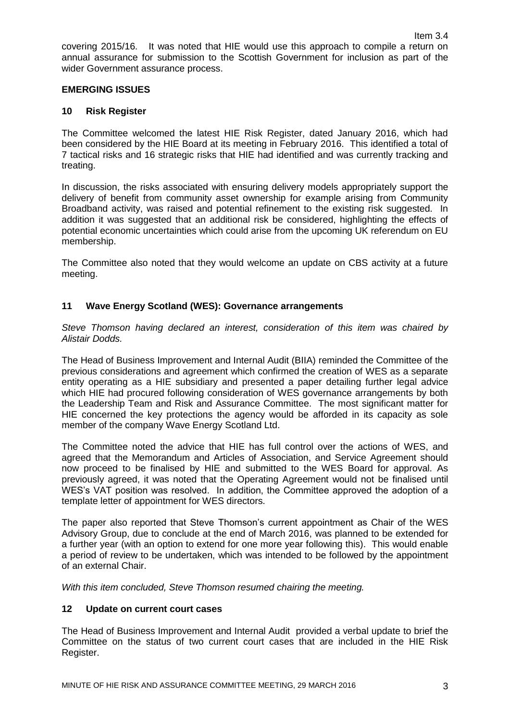covering 2015/16. It was noted that HIE would use this approach to compile a return on annual assurance for submission to the Scottish Government for inclusion as part of the wider Government assurance process.

## **EMERGING ISSUES**

## **10 Risk Register**

The Committee welcomed the latest HIE Risk Register, dated January 2016, which had been considered by the HIE Board at its meeting in February 2016. This identified a total of 7 tactical risks and 16 strategic risks that HIE had identified and was currently tracking and treating.

In discussion, the risks associated with ensuring delivery models appropriately support the delivery of benefit from community asset ownership for example arising from Community Broadband activity, was raised and potential refinement to the existing risk suggested. In addition it was suggested that an additional risk be considered, highlighting the effects of potential economic uncertainties which could arise from the upcoming UK referendum on EU membership.

The Committee also noted that they would welcome an update on CBS activity at a future meeting.

## **11 Wave Energy Scotland (WES): Governance arrangements**

*Steve Thomson having declared an interest, consideration of this item was chaired by Alistair Dodds.*

The Head of Business Improvement and Internal Audit (BIIA) reminded the Committee of the previous considerations and agreement which confirmed the creation of WES as a separate entity operating as a HIE subsidiary and presented a paper detailing further legal advice which HIE had procured following consideration of WES governance arrangements by both the Leadership Team and Risk and Assurance Committee. The most significant matter for HIE concerned the key protections the agency would be afforded in its capacity as sole member of the company Wave Energy Scotland Ltd.

The Committee noted the advice that HIE has full control over the actions of WES, and agreed that the Memorandum and Articles of Association, and Service Agreement should now proceed to be finalised by HIE and submitted to the WES Board for approval. As previously agreed, it was noted that the Operating Agreement would not be finalised until WES's VAT position was resolved. In addition, the Committee approved the adoption of a template letter of appointment for WES directors.

The paper also reported that Steve Thomson's current appointment as Chair of the WES Advisory Group, due to conclude at the end of March 2016, was planned to be extended for a further year (with an option to extend for one more year following this). This would enable a period of review to be undertaken, which was intended to be followed by the appointment of an external Chair.

*With this item concluded, Steve Thomson resumed chairing the meeting.*

### **12 Update on current court cases**

The Head of Business Improvement and Internal Audit provided a verbal update to brief the Committee on the status of two current court cases that are included in the HIE Risk Register.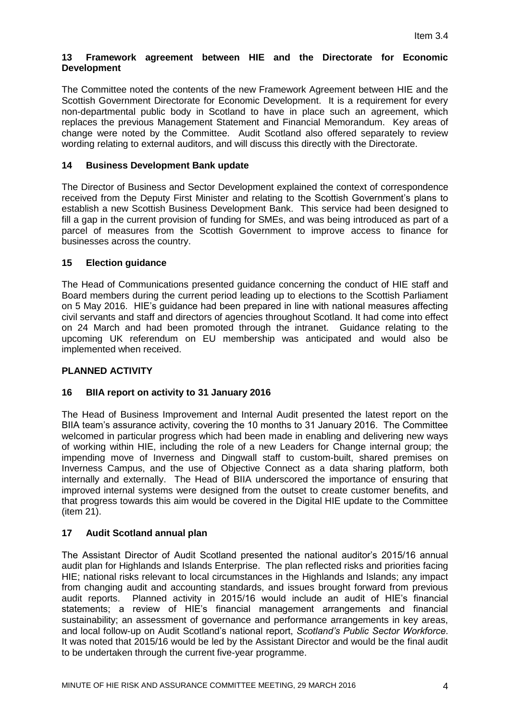## **13 Framework agreement between HIE and the Directorate for Economic Development**

The Committee noted the contents of the new Framework Agreement between HIE and the Scottish Government Directorate for Economic Development. It is a requirement for every non-departmental public body in Scotland to have in place such an agreement, which replaces the previous Management Statement and Financial Memorandum. Key areas of change were noted by the Committee. Audit Scotland also offered separately to review wording relating to external auditors, and will discuss this directly with the Directorate.

# **14 Business Development Bank update**

The Director of Business and Sector Development explained the context of correspondence received from the Deputy First Minister and relating to the Scottish Government's plans to establish a new Scottish Business Development Bank. This service had been designed to fill a gap in the current provision of funding for SMEs, and was being introduced as part of a parcel of measures from the Scottish Government to improve access to finance for businesses across the country.

# **15 Election guidance**

The Head of Communications presented guidance concerning the conduct of HIE staff and Board members during the current period leading up to elections to the Scottish Parliament on 5 May 2016. HIE's guidance had been prepared in line with national measures affecting civil servants and staff and directors of agencies throughout Scotland. It had come into effect on 24 March and had been promoted through the intranet. Guidance relating to the upcoming UK referendum on EU membership was anticipated and would also be implemented when received.

# **PLANNED ACTIVITY**

# **16 BIIA report on activity to 31 January 2016**

The Head of Business Improvement and Internal Audit presented the latest report on the BIIA team's assurance activity, covering the 10 months to 31 January 2016. The Committee welcomed in particular progress which had been made in enabling and delivering new ways of working within HIE, including the role of a new Leaders for Change internal group; the impending move of Inverness and Dingwall staff to custom-built, shared premises on Inverness Campus, and the use of Objective Connect as a data sharing platform, both internally and externally. The Head of BIIA underscored the importance of ensuring that improved internal systems were designed from the outset to create customer benefits, and that progress towards this aim would be covered in the Digital HIE update to the Committee (item 21).

## **17 Audit Scotland annual plan**

The Assistant Director of Audit Scotland presented the national auditor's 2015/16 annual audit plan for Highlands and Islands Enterprise. The plan reflected risks and priorities facing HIE; national risks relevant to local circumstances in the Highlands and Islands; any impact from changing audit and accounting standards, and issues brought forward from previous audit reports. Planned activity in 2015/16 would include an audit of HIE's financial statements; a review of HIE's financial management arrangements and financial sustainability; an assessment of governance and performance arrangements in key areas, and local follow-up on Audit Scotland's national report, *Scotland's Public Sector Workforce*. It was noted that 2015/16 would be led by the Assistant Director and would be the final audit to be undertaken through the current five-year programme.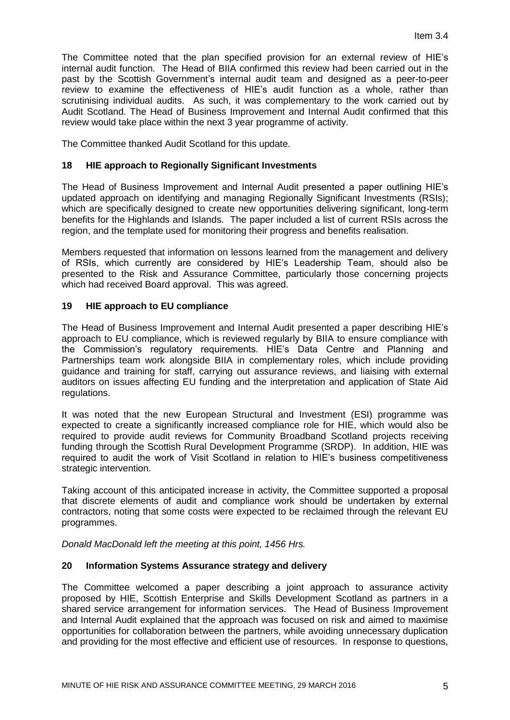The Committee noted that the plan specified provision for an external review of HIE's internal audit function. The Head of BIIA confirmed this review had been carried out in the past by the Scottish Government's internal audit team and designed as a peer-to-peer review to examine the effectiveness of HIE's audit function as a whole, rather than scrutinising individual audits. As such, it was complementary to the work carried out by Audit Scotland. The Head of Business Improvement and Internal Audit confirmed that this review would take place within the next 3 year programme of activity.

The Committee thanked Audit Scotland for this update.

## **18 HIE approach to Regionally Significant Investments**

The Head of Business Improvement and Internal Audit presented a paper outlining HIE's updated approach on identifying and managing Regionally Significant Investments (RSIs); which are specifically designed to create new opportunities delivering significant, long-term benefits for the Highlands and Islands. The paper included a list of current RSIs across the region, and the template used for monitoring their progress and benefits realisation.

Members requested that information on lessons learned from the management and delivery of RSIs, which currently are considered by HIE's Leadership Team, should also be presented to the Risk and Assurance Committee, particularly those concerning projects which had received Board approval. This was agreed.

## **19 HIE approach to EU compliance**

The Head of Business Improvement and Internal Audit presented a paper describing HIE's approach to EU compliance, which is reviewed regularly by BIIA to ensure compliance with the Commission's regulatory requirements. HIE's Data Centre and Planning and Partnerships team work alongside BIIA in complementary roles, which include providing guidance and training for staff, carrying out assurance reviews, and liaising with external auditors on issues affecting EU funding and the interpretation and application of State Aid regulations.

It was noted that the new European Structural and Investment (ESI) programme was expected to create a significantly increased compliance role for HIE, which would also be required to provide audit reviews for Community Broadband Scotland projects receiving funding through the Scottish Rural Development Programme (SRDP). In addition, HIE was required to audit the work of Visit Scotland in relation to HIE's business competitiveness strategic intervention.

Taking account of this anticipated increase in activity, the Committee supported a proposal that discrete elements of audit and compliance work should be undertaken by external contractors, noting that some costs were expected to be reclaimed through the relevant EU programmes.

*Donald MacDonald left the meeting at this point, 1456 Hrs.*

## **20 Information Systems Assurance strategy and delivery**

The Committee welcomed a paper describing a joint approach to assurance activity proposed by HIE, Scottish Enterprise and Skills Development Scotland as partners in a shared service arrangement for information services. The Head of Business Improvement and Internal Audit explained that the approach was focused on risk and aimed to maximise opportunities for collaboration between the partners, while avoiding unnecessary duplication and providing for the most effective and efficient use of resources. In response to questions,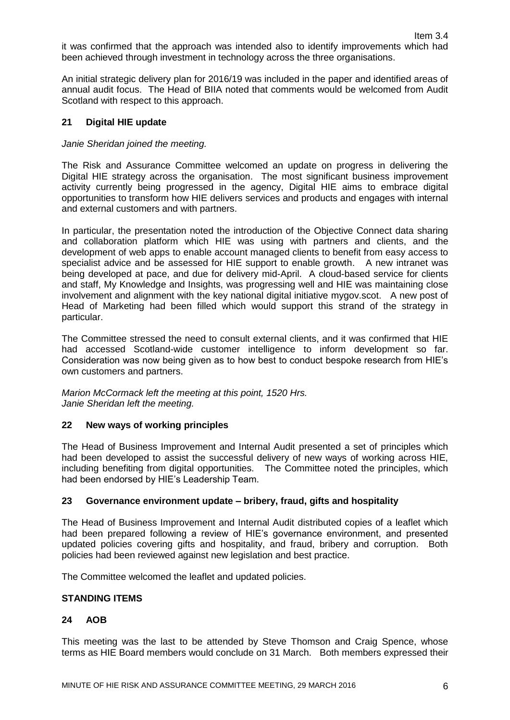it was confirmed that the approach was intended also to identify improvements which had been achieved through investment in technology across the three organisations.

An initial strategic delivery plan for 2016/19 was included in the paper and identified areas of annual audit focus. The Head of BIIA noted that comments would be welcomed from Audit Scotland with respect to this approach.

# **21 Digital HIE update**

## *Janie Sheridan joined the meeting.*

The Risk and Assurance Committee welcomed an update on progress in delivering the Digital HIE strategy across the organisation. The most significant business improvement activity currently being progressed in the agency, Digital HIE aims to embrace digital opportunities to transform how HIE delivers services and products and engages with internal and external customers and with partners.

In particular, the presentation noted the introduction of the Objective Connect data sharing and collaboration platform which HIE was using with partners and clients, and the development of web apps to enable account managed clients to benefit from easy access to specialist advice and be assessed for HIE support to enable growth. A new intranet was being developed at pace, and due for delivery mid-April. A cloud-based service for clients and staff, My Knowledge and Insights, was progressing well and HIE was maintaining close involvement and alignment with the key national digital initiative mygov.scot. A new post of Head of Marketing had been filled which would support this strand of the strategy in particular.

The Committee stressed the need to consult external clients, and it was confirmed that HIE had accessed Scotland-wide customer intelligence to inform development so far. Consideration was now being given as to how best to conduct bespoke research from HIE's own customers and partners.

*Marion McCormack left the meeting at this point, 1520 Hrs. Janie Sheridan left the meeting.*

## **22 New ways of working principles**

The Head of Business Improvement and Internal Audit presented a set of principles which had been developed to assist the successful delivery of new ways of working across HIE, including benefiting from digital opportunities. The Committee noted the principles, which had been endorsed by HIE's Leadership Team.

## **23 Governance environment update – bribery, fraud, gifts and hospitality**

The Head of Business Improvement and Internal Audit distributed copies of a leaflet which had been prepared following a review of HIE's governance environment, and presented updated policies covering gifts and hospitality, and fraud, bribery and corruption. Both policies had been reviewed against new legislation and best practice.

The Committee welcomed the leaflet and updated policies.

### **STANDING ITEMS**

## **24 AOB**

This meeting was the last to be attended by Steve Thomson and Craig Spence, whose terms as HIE Board members would conclude on 31 March. Both members expressed their